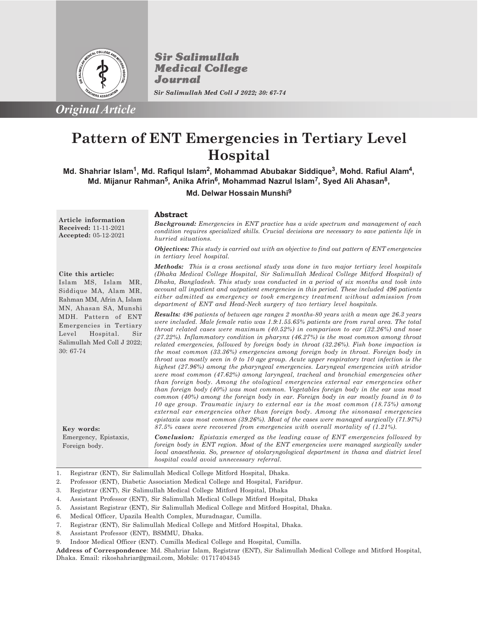

*Original Article*

**Sir Salimullah Medical College** Journal

*Sir Salimullah Med Coll J 2022; 30: 67-74*

# **Pattern of ENT Emergencies in Tertiary Level Hospital**

Md. Shahriar Islam<sup>1</sup>, Md. Rafiqul Islam<sup>2</sup>, Mohammad Abubakar Siddique<sup>3</sup>, Mohd. Rafiul Alam<sup>4</sup>, **Md. Mijanur Rahman<sup>5</sup> , Anika Afrin<sup>6</sup> , Mohammad Nazrul Islam<sup>7</sup> , Syed Ali Ahasan<sup>8</sup> ,**

**Md. Delwar Hossain Munshi<sup>9</sup>**

**Article information Received:** 11-11-2021 **Accepted:** 05-12-2021

## **Abstract**

*Background: Emergencies in ENT practice has a wide spectrum and management of each condition requires specialized skills. Crucial decisions are necessary to save patients life in hurried situations.*

*Objectives: This study is carried out with an objective to find out pattern of ENT emergencies in tertiary level hospital.*

## **Cite this article:**

**Key words:**

Emergency, Epistaxis, Foreign body.

Islam MS, Islam MR, Siddique MA, Alam MR, Rahman MM, Afrin A, Islam MN, Ahasan SA, Munshi MDH. Pattern of ENT Emergencies in Tertiary Level Hospital. Sir Salimullah Med Coll J 2022; 30: 67-74

*Methods: This is a cross sectional study was done in two major tertiary level hospitals (Dhaka Medical College Hospital, Sir Salimullah Medical College Mitford Hospital) of Dhaka, Bangladesh. This study was conducted in a period of six months and took into account all inpatient and outpatient emergencies in this period. These included 496 patients either admitted as emergency or took emergency treatment without admission from department of ENT and Head-Neck surgery of two tertiary level hospitals.*

*Results: 496 patients of between age ranges 2 months-80 years with a mean age 26.3 years were included. Male female ratio was 1.9:1.55.65% patients are from rural area. The total throat related cases were maximum (40.52%) in comparison to ear (32.26%) and nose (27.22%). Inflammatory condition in pharynx (46.27%) is the most common among throat related emergencies, followed by foreign body in throat (32.26%). Fish bone impaction is the most common (33.36%) emergencies among foreign body in throat. Foreign body in throat was mostly seen in 0 to 10 age group. Acute upper respiratory tract infection is the highest (27.96%) among the pharyngeal emergencies. Laryngeal emergencies with stridor were most common (47.62%) among laryngeal, tracheal and bronchial emergencies other than foreign body. Among the otological emergencies external ear emergencies other than foreign body (40%) was most common. Vegetables foreign body in the ear was most common (40%) among the foreign body in ear. Foreign body in ear mostly found in 0 to 10 age group. Traumatic injury to external ear is the most common (18.75%) among external ear emergencies other than foreign body. Among the sinonasal emergencies epistaxis was most common (39.26%). Most of the cases were managed surgically (71.97%) 87.5% cases were recovered from emergencies with overall mortality of (1.21%).*

*Conclusion: Epistaxis emerged as the leading cause of ENT emergencies followed by foreign body in ENT region. Most of the ENT emergencies were managed surgically under local anaesthesia. So, presence of otolaryngological department in thana and district level hospital could avoid unnecessary referral.*

1. Registrar (ENT), Sir Salimullah Medical College Mitford Hospital, Dhaka.

2. Professor (ENT), Diabetic Association Medical College and Hospital, Faridpur.

- 3. Registrar (ENT), Sir Salimullah Medical College Mitford Hospital, Dhaka
- 4. Assistant Professor (ENT), Sir Salimullah Medical College Mitford Hospital, Dhaka

5. Assistant Registrar (ENT), Sir Salimullah Medical College and Mitford Hospital, Dhaka.

- 6. Medical Officer, Upazila Health Complex, Muradnagar, Cumilla.
- 7. Registrar (ENT), Sir Salimullah Medical College and Mitford Hospital, Dhaka.
- 8. Assistant Professor (ENT), BSMMU, Dhaka.
- 9. Indoor Medical Officer (ENT). Cumilla Medical College and Hospital, Cumilla.

**Address of Correspondence**: Md. Shahriar Islam, Registrar (ENT), Sir Salimullah Medical College and Mitford Hospital, Dhaka. Email: rikoshahriar@gmail.com, Mobile: 01717404345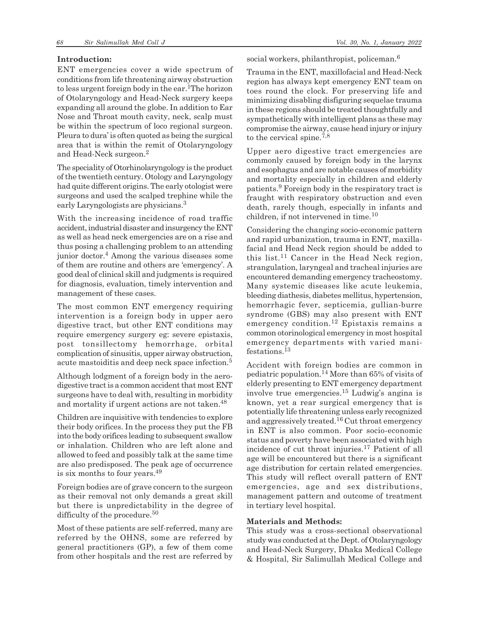## **Introduction:**

ENT emergencies cover a wide spectrum of conditions from life threatening airway obstruction to less urgent foreign body in the ear.<sup>1</sup>The horizon of Otolaryngology and Head-Neck surgery keeps expanding all around the globe. In addition to Ear Nose and Throat mouth cavity, neck, scalp must be within the spectrum of loco regional surgeon. Pleura to dura' is often quoted as being the surgical area that is within the remit of Otolaryngology and Head-Neck surgeon.<sup>2</sup>

The speciality of Otorhinolaryngology is the product of the twentieth century. Otology and Laryngology had quite different origins. The early otologist were surgeons and used the scalped trephine while the early Laryngologists are physicians.<sup>3</sup>

With the increasing incidence of road traffic accident, industrial disaster and insurgency the ENT as well as head neck emergencies are on a rise and thus posing a challenging problem to an attending junior doctor.<sup>4</sup> Among the various diseases some of them are routine and others are 'emergency'. A good deal of clinical skill and judgments is required for diagnosis, evaluation, timely intervention and management of these cases.

The most common ENT emergency requiring intervention is a foreign body in upper aero digestive tract, but other ENT conditions may require emergency surgery eg: severe epistaxis, post tonsillectomy hemorrhage, orbital complication of sinusitis, upper airway obstruction, acute mastoiditis and deep neck space infection.<sup>5</sup>

Although lodgment of a foreign body in the aerodigestive tract is a common accident that most ENT surgeons have to deal with, resulting in morbidity and mortality if urgent actions are not taken.<sup>48</sup>

Children are inquisitive with tendencies to explore their body orifices. In the process they put the FB into the body orifices leading to subsequent swallow or inhalation. Children who are left alone and allowed to feed and possibly talk at the same time are also predisposed. The peak age of occurrence is six months to four years.<sup>49</sup>

Foreign bodies are of grave concern to the surgeon as their removal not only demands a great skill but there is unpredictability in the degree of difficulty of the procedure.<sup>50</sup>

Most of these patients are self-referred, many are referred by the OHNS, some are referred by general practitioners (GP), a few of them come from other hospitals and the rest are referred by

social workers, philanthropist, policeman.<sup>6</sup>

Trauma in the ENT, maxillofacial and Head-Neck region has always kept emergency ENT team on toes round the clock. For preserving life and minimizing disabling disfiguring sequelae trauma in these regions should be treated thoughtfully and sympathetically with intelligent plans as these may compromise the airway, cause head injury or injury to the cervical spine.7,8

Upper aero digestive tract emergencies are commonly caused by foreign body in the larynx and esophagus and are notable causes of morbidity and mortality especially in children and elderly patients.<sup>9</sup> Foreign body in the respiratory tract is fraught with respiratory obstruction and even death, rarely though, especially in infants and children, if not intervened in time.<sup>10</sup>

Considering the changing socio-economic pattern and rapid urbanization, trauma in ENT, maxillafacial and Head Neck region should be added to this list.<sup>11</sup> Cancer in the Head Neck region, strangulation, laryngeal and tracheal injuries are encountered demanding emergency tracheostomy. Many systemic diseases like acute leukemia, bleeding diathesis, diabetes mellitus, hypertension, hemorrhagic fever, septicemia, gullian-burre syndrome (GBS) may also present with ENT emergency condition.<sup>12</sup> Epistaxis remains a common otorinological emergency in most hospital emergency departments with varied manifestations.<sup>13</sup>

Accident with foreign bodies are common in pediatric population.14 More than 65% of visits of elderly presenting to ENT emergency department involve true emergencies.15 Ludwig's angina is known, yet a rear surgical emergency that is potentially life threatening unless early recognized and aggressively treated.16 Cut throat emergency in ENT is also common. Poor socio-economic status and poverty have been associated with high incidence of cut throat injuries.17 Patient of all age will be encountered but there is a significant age distribution for certain related emergencies. This study will reflect overall pattern of ENT emergencies, age and sex distributions, management pattern and outcome of treatment in tertiary level hospital.

## **Materials and Methods:**

This study was a cross-sectional observational study was conducted at the Dept. of Otolaryngology and Head-Neck Surgery, Dhaka Medical College & Hospital, Sir Salimullah Medical College and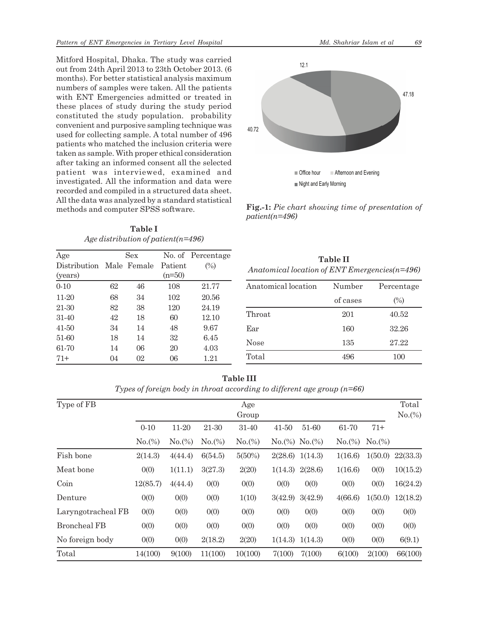Mitford Hospital, Dhaka. The study was carried out from 24th April 2013 to 23th October 2013. (6 months). For better statistical analysis maximum numbers of samples were taken. All the patients with ENT Emergencies admitted or treated in these places of study during the study period constituted the study population. probability convenient and purposive sampling technique was used for collecting sample. A total number of 496 patients who matched the inclusion criteria were taken as sample. With proper ethical consideration after taking an informed consent all the selected patient was interviewed, examined and investigated. All the information and data were recorded and compiled in a structured data sheet. All the data was analyzed by a standard statistical methods and computer SPSS software.

**Table I** *Age distribution of patient(n=496)*

| Age                      |    | Sex |          | No. of Percentage |
|--------------------------|----|-----|----------|-------------------|
| Distribution Male Female |    |     | Patient  | $(\%)$            |
| (years)                  |    |     | $(n=50)$ |                   |
| $0 - 10$                 | 62 | 46  | 108      | 21.77             |
| 11-20                    | 68 | 34  | 102      | 20.56             |
| 21-30                    | 82 | 38  | 120      | 24.19             |
| 31-40                    | 42 | 18  | 60       | 12.10             |
| 41-50                    | 34 | 14  | 48       | 9.67              |
| 51-60                    | 18 | 14  | 32       | 6.45              |
| 61-70                    | 14 | 06  | 20       | 4.03              |
| $71+$                    | 04 | 02  | 06       | 1.21              |



**Fig.-1:** *Pie chart showing time of presentation of patient(n=496)*

| <b>Table II</b>                                     |
|-----------------------------------------------------|
| Anatomical location of $ENT$ Emergencies( $n=496$ ) |

| Anatomical location | Number   | Percentage |  |
|---------------------|----------|------------|--|
|                     | of cases | (%)        |  |
| Throat              | 201      | 40.52      |  |
| Ear                 | 160      | 32.26      |  |
| <b>Nose</b>         | 135      | 27.22      |  |
| Total               | 496      | 100        |  |

| 'able II |  |
|----------|--|
|----------|--|

*Types of foreign body in throat according to different age group (n=66)*

| Type of FB         | Age<br>Group          |                 |                 |                 |           |                              |                 | Total<br>$No.$ (%) |          |
|--------------------|-----------------------|-----------------|-----------------|-----------------|-----------|------------------------------|-----------------|--------------------|----------|
|                    | $0 - 10$<br>$No.(\%)$ | 11-20<br>No.(%) | 21-30<br>No.(%) | 31-40<br>No.(%) | $41 - 50$ | 51-60<br>$No.$ (%) $No.$ (%) | 61-70<br>No.(%) | $71+$<br>No.(%)    |          |
|                    |                       |                 |                 |                 |           |                              |                 |                    |          |
| Meat bone          | 0(0)                  | 1(11.1)         | 3(27.3)         | 2(20)           | 1(14.3)   | 2(28.6)                      | 1(16.6)         | 0(0)               | 10(15.2) |
| Coin               | 12(85.7)              | 4(44.4)         | 0(0)            | 0(0)            | 0(0)      | 0(0)                         | 0(0)            | 0(0)               | 16(24.2) |
| Denture            | 0(0)                  | 0(0)            | 0(0)            | 1(10)           | 3(42.9)   | 3(42.9)                      | 4(66.6)         | 1(50.0)            | 12(18.2) |
| Laryngotracheal FB | 0(0)                  | 0(0)            | 0(0)            | 0(0)            | 0(0)      | 0(0)                         | 0(0)            | 0(0)               | 0(0)     |
| Broncheal FB       | 0(0)                  | 0(0)            | 0(0)            | 0(0)            | 0(0)      | 0(0)                         | 0(0)            | 0(0)               | 0(0)     |
| No foreign body    | 0(0)                  | 0(0)            | 2(18.2)         | 2(20)           | 1(14.3)   | 1(14.3)                      | 0(0)            | 0(0)               | 6(9.1)   |
| Total              | 14(100)               | 9(100)          | 11(100)         | 10(100)         | 7(100)    | 7(100)                       | 6(100)          | 2(100)             | 66(100)  |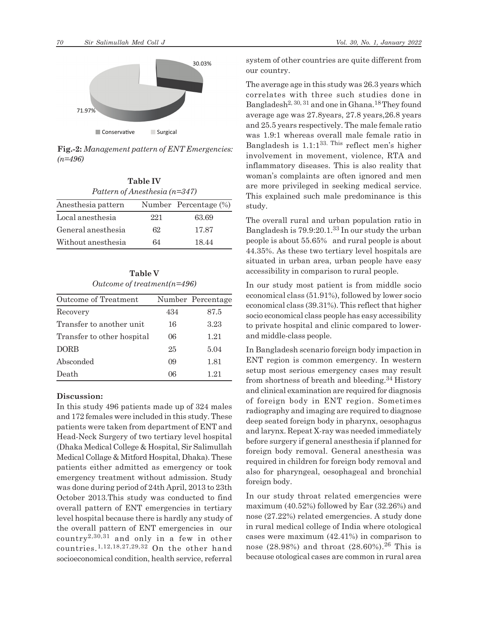

**Fig.-2:** *Management pattern of ENT Emergencies: (n=496)*

**Table IV**

| Pattern of Anesthesia $(n=347)$ |     |                       |  |  |  |  |
|---------------------------------|-----|-----------------------|--|--|--|--|
| Anesthesia pattern              |     | Number Percentage (%) |  |  |  |  |
| Local anesthesia                | 221 | 63.69                 |  |  |  |  |
| General anesthesia              | 62  | 17.87                 |  |  |  |  |
| Without anesthesia              | 64  | 18.44                 |  |  |  |  |

**Table V** *Outcome of treatment(n=496)*

| Outcome of Treatment       |     | Number Percentage |
|----------------------------|-----|-------------------|
| Recovery                   | 434 | 87.5              |
| Transfer to another unit   | 16  | 3.23              |
| Transfer to other hospital | 06  | 1.21              |
| <b>DORB</b>                | 25  | 5.04              |
| Absconded                  | 09  | 1.81              |
| Death                      | 06  | 1.21              |

## **Discussion:**

In this study 496 patients made up of 324 males and 172 females were included in this study. These patients were taken from department of ENT and Head-Neck Surgery of two tertiary level hospital (Dhaka Medical College & Hospital, Sir Salimullah Medical Collage & Mitford Hospital, Dhaka). These patients either admitted as emergency or took emergency treatment without admission. Study was done during period of 24th April, 2013 to 23th October 2013.This study was conducted to find overall pattern of ENT emergencies in tertiary level hospital because there is hardly any study of the overall pattern of ENT emergencies in our country<sup>2,30,31</sup> and only in a few in other countries.1,12,18,27,29,32 On the other hand socioeconomical condition, health service, referral

system of other countries are quite different from our country.

The average age in this study was 26.3 years which correlates with three such studies done in Bangladesh<sup>2, 30, 31</sup> and one in Ghana.<sup>18</sup> They found average age was 27.8years, 27.8 years,26.8 years and 25.5 years respectively. The male female ratio was 1.9:1 whereas overall male female ratio in Bangladesh is  $1.1:1^{33}$ . This reflect men's higher involvement in movement, violence, RTA and inflammatory diseases. This is also reality that woman's complaints are often ignored and men are more privileged in seeking medical service. This explained such male predominance is this study.

The overall rural and urban population ratio in Bangladesh is 79.9:20.1.33 In our study the urban people is about 55.65% and rural people is about 44.35%. As these two tertiary level hospitals are situated in urban area, urban people have easy accessibility in comparison to rural people.

In our study most patient is from middle socio economical class (51.91%), followed by lower socio economical class (39.31%). This reflect that higher socio economical class people has easy accessibility to private hospital and clinic compared to lowerand middle-class people.

In Bangladesh scenario foreign body impaction in ENT region is common emergency. In western setup most serious emergency cases may result from shortness of breath and bleeding.34 History and clinical examination are required for diagnosis of foreign body in ENT region. Sometimes radiography and imaging are required to diagnose deep seated foreign body in pharynx, oesophagus and larynx. Repeat X-ray was needed immediately before surgery if general anesthesia if planned for foreign body removal. General anesthesia was required in children for foreign body removal and also for pharyngeal, oesophageal and bronchial foreign body.

In our study throat related emergencies were maximum (40.52%) followed by Ear (32.26%) and nose (27.22%) related emergencies. A study done in rural medical college of India where otological cases were maximum (42.41%) in comparison to nose (28.98%) and throat (28.60%).<sup>26</sup> This is because otological cases are common in rural area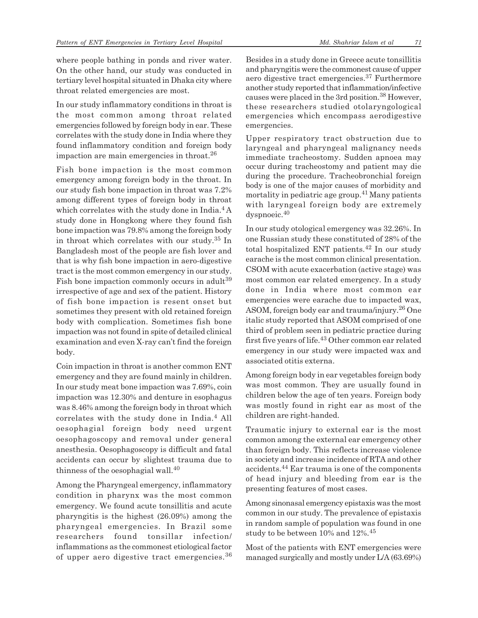where people bathing in ponds and river water. On the other hand, our study was conducted in tertiary level hospital situated in Dhaka city where throat related emergencies are most.

In our study inflammatory conditions in throat is the most common among throat related emergencies followed by foreign body in ear. These correlates with the study done in India where they found inflammatory condition and foreign body impaction are main emergencies in throat.<sup>26</sup>

Fish bone impaction is the most common emergency among foreign body in the throat. In our study fish bone impaction in throat was 7.2% among different types of foreign body in throat which correlates with the study done in India.<sup>4</sup> A study done in Hongkong where they found fish bone impaction was 79.8% among the foreign body in throat which correlates with our study.35 In Bangladesh most of the people are fish lover and that is why fish bone impaction in aero-digestive tract is the most common emergency in our study. Fish bone impaction commonly occurs in adult<sup>39</sup> irrespective of age and sex of the patient. History of fish bone impaction is resent onset but sometimes they present with old retained foreign body with complication. Sometimes fish bone impaction was not found in spite of detailed clinical examination and even X-ray can't find the foreign body.

Coin impaction in throat is another common ENT emergency and they are found mainly in children. In our study meat bone impaction was 7.69%, coin impaction was 12.30% and denture in esophagus was 8.46% among the foreign body in throat which correlates with the study done in India.<sup>4</sup> All oesophagial foreign body need urgent oesophagoscopy and removal under general anesthesia. Oesophagoscopy is difficult and fatal accidents can occur by slightest trauma due to thinness of the oesophagial wall.<sup>40</sup>

Among the Pharyngeal emergency, inflammatory condition in pharynx was the most common emergency. We found acute tonsillitis and acute pharyngitis is the highest (26.09%) among the pharyngeal emergencies. In Brazil some researchers found tonsillar infection/ inflammations as the commonest etiological factor of upper aero digestive tract emergencies.<sup>36</sup> Besides in a study done in Greece acute tonsillitis and pharyngitis were the commonest cause of upper aero digestive tract emergencies.37 Furthermore another study reported that inflammation/infective causes were placed in the 3rd position.38 However, these researchers studied otolaryngological emergencies which encompass aerodigestive emergencies.

Upper respiratory tract obstruction due to laryngeal and pharyngeal malignancy needs immediate tracheostomy. Sudden apnoea may occur during tracheostomy and patient may die during the procedure. Tracheobronchial foreign body is one of the major causes of morbidity and mortality in pediatric age group.41 Many patients with laryngeal foreign body are extremely dyspnoeic.<sup>40</sup>

In our study otological emergency was 32.26%. In one Russian study these constituted of 28% of the total hospitalized ENT patients.42 In our study earache is the most common clinical presentation. CSOM with acute exacerbation (active stage) was most common ear related emergency. In a study done in India where most common ear emergencies were earache due to impacted wax, ASOM, foreign body ear and trauma/injury.26 One italic study reported that ASOM comprised of one third of problem seen in pediatric practice during first five years of life.43 Other common ear related emergency in our study were impacted wax and associated otitis externa.

Among foreign body in ear vegetables foreign body was most common. They are usually found in children below the age of ten years. Foreign body was mostly found in right ear as most of the children are right-handed.

Traumatic injury to external ear is the most common among the external ear emergency other than foreign body. This reflects increase violence in society and increase incidence of RTA and other accidents.44 Ear trauma is one of the components of head injury and bleeding from ear is the presenting features of most cases.

Among sinonasal emergency epistaxis was the most common in our study. The prevalence of epistaxis in random sample of population was found in one study to be between 10% and 12%.<sup>45</sup>

Most of the patients with ENT emergencies were managed surgically and mostly under L/A (63.69%)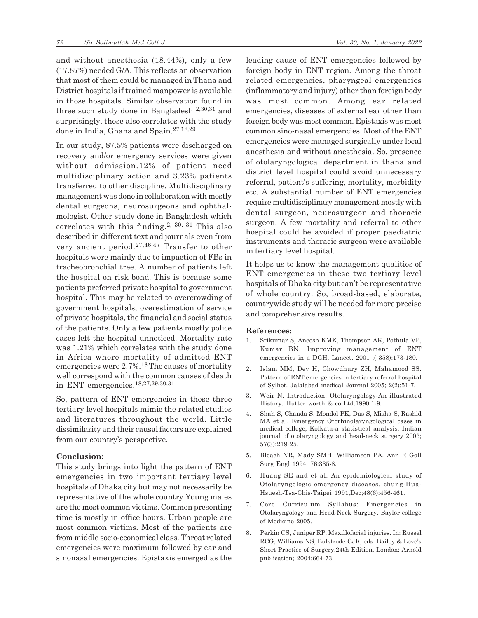and without anesthesia (18.44%), only a few (17.87%) needed G/A. This reflects an observation that most of them could be managed in Thana and District hospitals if trained manpower is available in those hospitals. Similar observation found in three such study done in Bangladesh 2,30,31 and surprisingly, these also correlates with the study done in India, Ghana and Spain.27,18,29

In our study, 87.5% patients were discharged on recovery and/or emergency services were given without admission.12% of patient need multidisciplinary action and 3.23% patients transferred to other discipline. Multidisciplinary management was done in collaboration with mostly dental surgeons, neurosurgeons and ophthalmologist. Other study done in Bangladesh which correlates with this finding.<sup>2, 30, 31</sup> This also described in different text and journals even from very ancient period.27,46,47 Transfer to other hospitals were mainly due to impaction of FBs in tracheobronchial tree. A number of patients left the hospital on risk bond. This is because some patients preferred private hospital to government hospital. This may be related to overcrowding of government hospitals, overestimation of service of private hospitals, the financial and social status of the patients. Only a few patients mostly police cases left the hospital unnoticed. Mortality rate was 1.21% which correlates with the study done in Africa where mortality of admitted ENT emergencies were 2.7%.18 The causes of mortality well correspond with the common causes of death in ENT emergencies.18,27,29,30,31

So, pattern of ENT emergencies in these three tertiary level hospitals mimic the related studies and literatures throughout the world. Little dissimilarity and their causal factors are explained from our country's perspective.

## **Conclusion:**

This study brings into light the pattern of ENT emergencies in two important tertiary level hospitals of Dhaka city but may not necessarily be representative of the whole country Young males are the most common victims. Common presenting time is mostly in office hours. Urban people are most common victims. Most of the patients are from middle socio-economical class. Throat related emergencies were maximum followed by ear and sinonasal emergencies. Epistaxis emerged as the leading cause of ENT emergencies followed by foreign body in ENT region. Among the throat related emergencies, pharyngeal emergencies (inflammatory and injury) other than foreign body was most common. Among ear related emergencies, diseases of external ear other than foreign body was most common. Epistaxis was most common sino-nasal emergencies. Most of the ENT emergencies were managed surgically under local anesthesia and without anesthesia. So, presence of otolaryngological department in thana and district level hospital could avoid unnecessary referral, patient's suffering, mortality, morbidity etc. A substantial number of ENT emergencies require multidisciplinary management mostly with dental surgeon, neurosurgeon and thoracic surgeon. A few mortality and referral to other hospital could be avoided if proper paediatric instruments and thoracic surgeon were available in tertiary level hospital.

It helps us to know the management qualities of ENT emergencies in these two tertiary level hospitals of Dhaka city but can't be representative of whole country. So, broad-based, elaborate, countrywide study will be needed for more precise and comprehensive results.

#### **References:**

- 1. Srikumar S, Aneesh KMK, Thompson AK, Pothula VP, Kumar BN. Improving management of ENT emergencies in a DGH. Lancet. 2001 ;( 358):173-180.
- 2. Islam MM, Dev H, Chowdhury ZH, Mahamood SS. Pattern of ENT emergencies in tertiary referral hospital of Sylhet. Jalalabad medical Journal 2005; 2(2):51-7.
- 3. Weir N. Introduction, Otolaryngology-An illustrated History. Hutter worth & co Ltd.1990:1-9.
- 4. Shah S, Chanda S, Mondol PK, Das S, Misha S, Rashid MA et al. Emergency Otorhinolaryngological cases in medical college, Kolkata-a statistical analysis. Indian journal of otolaryngology and head-neck surgery 2005; 57(3):219-25.
- 5. Bleach NR, Mady SMH, Williamson PA. Ann R Goll Surg Engl 1994; 76:335-8.
- 6. Huang SE and et al. An epidemiological study of Otolaryngologic emergency diseases. chung-Hua-Hsuesh-Tsa-Chis-Taipei 1991,Dec;48(6):456-461.
- 7. Core Curriculum Syllabus: Emergencies in Otolaryngology and Head-Neck Surgery. Baylor college of Medicine 2005.
- 8. Perkin CS, Juniper RP. Maxillofacial injuries. In: Russel RCG, Williams NS, Bulstrode CJK, eds. Bailey & Love's Short Practice of Surgery.24th Edition. London: Arnold publication; 2004:664-73.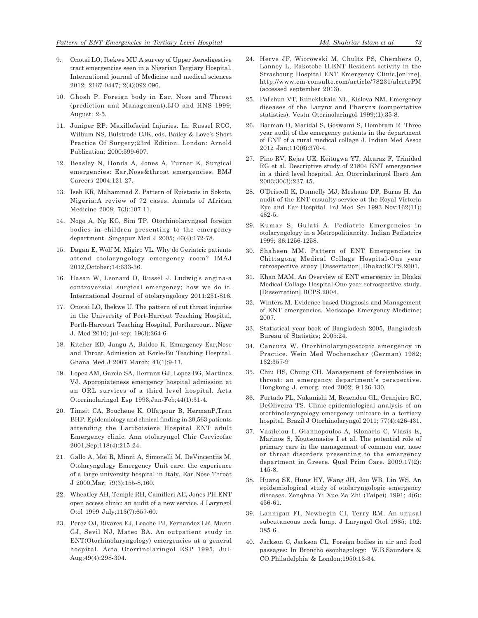- 9. Onotai LO, Ibekwe MU.A survey of Upper Aerodigestive tract emergencies seen in a Nigerian Tergiary Hospital. International journal of Medicine and medical sciences 2012; 2167-0447; 2(4):092-096.
- 10. Ghosh P. Foreign body in Ear, Nose and Throat (prediction and Management).IJO and HNS 1999; August: 2-5.
- 11. Juniper RP. Maxillofacial Injuries. In: Russel RCG, Willium NS, Bulstrode CJK, eds. Bailey & Love's Short Practice Of Surgery;23rd Edition. London: Arnold Publication; 2000:599-607.
- 12. Beasley N, Honda A, Jones A, Turner K, Surgical emergencies: Ear,Nose&throat emergencies. BMJ Careers 2004:121-27.
- 13. Iseh KR, Mahammad Z. Pattern of Epistaxis in Sokoto, Nigeria:A review of 72 cases. Annals of African Medicine 2008; 7(3):107-11.
- 14. Nogo A, Ng KC, Sim TP. Otorhinolaryngeal foreign bodies in children presenting to the emergency department. Singapur Med J 2005; 46(4):172-78.
- 15. Dagan E, Wolf M, Migiro VL. Why do Geriatric patients attend otolaryngology emergency room? IMAJ 2012,October;14:633-36.
- 16. Hasan W, Leonard D, Russel J. Ludwig's angina-a controversial surgical emergency; how we do it. International Journel of otolaryngology 2011:231-816.
- 17. Onotai LO, Ibekwe U. The pattern of cut throat injuries in the University of Port-Harcout Teaching Hospital, Porth-Harcourt Teaching Hospital, Portharcourt. Niger J. Med 2010; jul-sep; 19(3):264-6.
- 18. Kitcher ED, Jangu A, Baidoo K. Emargency Ear,Nose and Throat Admission at Korle-Bu Teaching Hospital. Ghana Med J 2007 March; 41(1):9-11.
- 19. Lopez AM, Garcia SA, Herranz GJ, Lopez BG, Martinez VJ. Appropiateness emergency hospital admission at an ORL survices of a third level hospital. Acta Otorrinolaringol Esp 1993,Jan-Feb;44(1):31-4.
- 20. Timsit CA, Bouchene K, Olfatpour B, HermanP,Tran BHP. Epidemiology and clinical finding in 20,563 patients attending the Lariboisiere Hospital ENT adult Emergency clinic. Ann otolaryngol Chir Cervicofac 2001,Sep;118(4):215-24.
- 21. Gallo A, Moi R, Minni A, Simonelli M, DeVincentiis M. Otolaryngology Emergency Unit care: the experience of a large university hospital in Italy. Ear Nose Throat J 2000,Mar; 79(3):155-8,160.
- 22. Wheatley AH, Temple RH, Camilleri AE, Jones PH.ENT open access clinic: an audit of a new service. J Laryngol Otol 1999 July;113(7):657-60.
- 23. Perez OJ, Rivares EJ, Leache PJ, Fernandez LR, Marin GJ, Sevil NJ, Mateo BA. An outpatient study in ENT(Otorhinolaryngology) emergencies at a general hospital. Acta Otorrinolaringol ESP 1995, Jul-Aug;49(4):298-304.
- 24. Herve JF, Wiorowski M, Chultz PS, Chembers O, Lannoy L, Rakotobe H.ENT Resident activity in the Strasbourg Hospital ENT Emergency Clinic.[online]. http://www.em-consulte.com/article/78231/alcrtePM (accessed september 2013).
- 25. Pal'chun VT, Kuneklskaia NL, Kislova NM. Emergency diseases of the Larynx and Pharynx (compertative statistics). Vestn Otorinolaringol 1999;(1):35-8.
- 26. Barman D, Maridal S, Goswami S, Hembram R. Three year audit of the emergency patients in the department of ENT of a rural medical collage J. Indian Med Assoc 2012 Jan;110(6):370-4.
- 27. Pino RV, Rejas UE, Keitugwa YT, Alcaraz F, Trinidad RG et al. Descriptive study of 21804 ENT emergencies in a third level hospital. An Otorrinlaringol Ibero Am 2003;30(3):237-45.
- 28. O'Driscoll K, Donnelly MJ, Meshane DP, Burns H. An audit of the ENT casualty service at the Royal Victoria Eye and Ear Hospital. IrJ Med Sci 1993 Nov;162(11): 462-5.
- 29. Kumar S, Gulati A. Pediatric Emergencies in otolaryngology in a Metropolitiancity. Indian Pediatrics 1999; 36:1256-1258.
- 30. Shaheen MM. Pattern of ENT Emergencies in Chittagong Medical Collage Hospital-One year retrospective study [Dissertation],Dhaka:BCPS.2001.
- 31. Khan MAM. An Overview of ENT emergency in Dhaka Medical Collage Hospital-One year retrospective study. [Dissertation].BCPS.2004.
- 32. Winters M. Evidence based Diagnosis and Management of ENT emergencies. Medscape Emergency Medicine; 2007.
- 33. Statistical year book of Bangladesh 2005, Bangladesh Bureau of Statistics; 2005:24.
- 34. Cancura W. Otorhinolaryngoscopic emergency in Practice. Wein Med Wochenschar (German) 1982; 132:357-9
- 35. Chiu HS, Chung CH. Management of foreignbodies in throat: an emergency department's perspective. Hongkong J. emerg. med 2002; 9:126-130.
- 36. Furtado PL, Nakanishi M, Rezenden GL, Granjeiro RC, DeOliveira TS. Clinic-epidemiological analysis of an otorhinolaryngology emergency unitcare in a tertiary hospital. Brazil J Otorhinolaryngol 2011; 77(4):426-431.
- 37. Vasileiou I, Giannopoulos A, Klonaris C, Vlasis K, Marinos S, Koutsonasios I et al. The potential role of primary care in the management of common ear, nose or throat disorders presenting to the emergency department in Greece. Qual Prim Care. 2009.17(2): 145-8.
- 38. Huanq SE, Hung HY, Wang JH, Jou WB, Lin WS. An epidemiological study of otolaryngologic emergency diseases. Zonqhua Yi Xue Za Zhi (Taipei) 1991; 4(6): 456-61.
- 39. Lannigan FI, Newbegin CI, Terry RM. An unusal subcutaneous neck lump. J Laryngol Otol 1985; 102: 385-6.
- 40. Jackson C, Jackson CL, Foreign bodies in air and food passages: In Broncho esophagology: W.B.Saunders & CO:Philadelphia & London;1950:13-34.